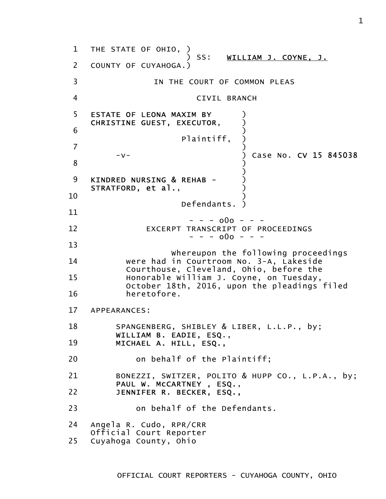1 2 3 4 5 6 7 8 9 10 11 12 13 14 15 16 17 18 19 20 21 22 23 24 25 THE STATE OF OHIO, ) ) SS: WILLIAM J. COYNE, J. COUNTY OF CUYAHOGA.) IN THE COURT OF COMMON PLEAS CIVIL BRANCH ESTATE OF LEONA MAXIM BY CHRISTINE GUEST, EXECUTOR,  $)$ ) Plaintiff, ) ) -v- ) Case No. CV 15 845038 ) ) KINDRED NURSING & REHAB -STRATFORD, et al., ) Defendants. )  $- - - 000 - - -$ EXCERPT TRANSCRIPT OF PROCEEDINGS - - - o0o - - - Whereupon the following proceedings were had in Courtroom No. 3-A, Lakeside Courthouse, Cleveland, Ohio, before the Honorable William J. Coyne, on Tuesday, October 18th, 2016, upon the pleadings filed heretofore. APPEARANCES: SPANGENBERG, SHIBLEY & LIBER, L.L.P., by; WILLIAM B. EADIE, ESQ., MICHAEL A. HILL, ESQ., on behalf of the Plaintiff; BONEZZI, SWITZER, POLITO & HUPP CO., L.P.A., by; PAUL W. McCARTNEY , ESQ., JENNIFER R. BECKER, ESQ., on behalf of the Defendants. Angela R. Cudo, RPR/CRR Official Court Reporter Cuyahoga County, Ohio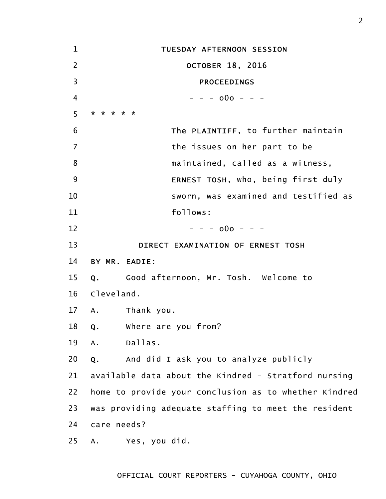| $\mathbf{1}$   | TUESDAY AFTERNOON SESSION                               |
|----------------|---------------------------------------------------------|
| $\overline{2}$ | <b>OCTOBER 18, 2016</b>                                 |
| 3              | <b>PROCEEDINGS</b>                                      |
| 4              | $- - - 000 - - -$                                       |
| 5              | * * * * *                                               |
| 6              | The PLAINTIFF, to further maintain                      |
| $\overline{7}$ | the issues on her part to be                            |
| 8              | maintained, called as a witness,                        |
| 9              | ERNEST TOSH, who, being first duly                      |
| 10             | sworn, was examined and testified as                    |
| 11             | follows:                                                |
| 12             | $- - - 000 - - -$                                       |
| 13             | DIRECT EXAMINATION OF ERNEST TOSH                       |
| 14             | BY MR. EADIE:                                           |
| 15             | Q. Good afternoon, Mr. Tosh. Welcome to                 |
| 16             | Cleveland.                                              |
| 17             | A. Thank you.                                           |
| 18             | where are you from?<br>$Q_{\bullet}$                    |
| 19             | Dallas.<br>A.                                           |
| 20             | And did I ask you to analyze publicly<br>Q <sub>z</sub> |
| 21             | available data about the Kindred - Stratford nursing    |
| 22             | home to provide your conclusion as to whether Kindred   |
| 23             | was providing adequate staffing to meet the resident    |
| 24             | care needs?                                             |
| 25             | Yes, you did.<br>Α.                                     |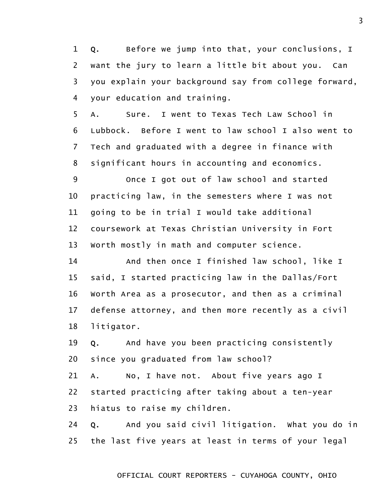1 2 3 4 Q. Before we jump into that, your conclusions, I want the jury to learn a little bit about you. Can you explain your background say from college forward, your education and training.

5 6 7 8 A. Sure. I went to Texas Tech Law School in Lubbock. Before I went to law school I also went to Tech and graduated with a degree in finance with significant hours in accounting and economics.

9 10 11 12 13 Once I got out of law school and started practicing law, in the semesters where I was not going to be in trial I would take additional coursework at Texas Christian University in Fort Worth mostly in math and computer science.

14 15 16 17 18 And then once I finished law school, like I said, I started practicing law in the Dallas/Fort Worth Area as a prosecutor, and then as a criminal defense attorney, and then more recently as a civil litigator.

19 20 Q. And have you been practicing consistently since you graduated from law school?

21 22 23 A. No, I have not. About five years ago I started practicing after taking about a ten-year hiatus to raise my children.

24 25 Q. And you said civil litigation. What you do in the last five years at least in terms of your legal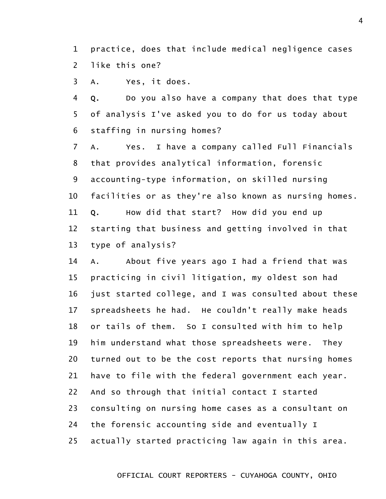1 2 practice, does that include medical negligence cases like this one?

3 A. Yes, it does.

4 5 6 Q. Do you also have a company that does that type of analysis I've asked you to do for us today about staffing in nursing homes?

7 8 9 10 11 12 13 A. Yes. I have a company called Full Financials that provides analytical information, forensic accounting-type information, on skilled nursing facilities or as they're also known as nursing homes. Q. How did that start? How did you end up starting that business and getting involved in that type of analysis?

14 15 16 17 18 19 20 21 22 23 24 25 A. About five years ago I had a friend that was practicing in civil litigation, my oldest son had just started college, and I was consulted about these spreadsheets he had. He couldn't really make heads or tails of them. So I consulted with him to help him understand what those spreadsheets were. They turned out to be the cost reports that nursing homes have to file with the federal government each year. And so through that initial contact I started consulting on nursing home cases as a consultant on the forensic accounting side and eventually I actually started practicing law again in this area.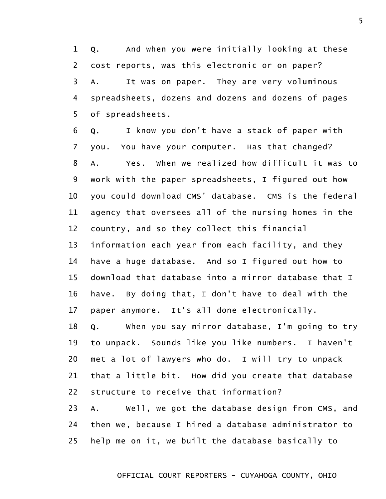1 2 3 4 5 Q. And when you were initially looking at these cost reports, was this electronic or on paper? A. It was on paper. They are very voluminous spreadsheets, dozens and dozens and dozens of pages of spreadsheets.

6 7 8 9 10 11 12 13 14 15 16 17 Q. I know you don't have a stack of paper with you. You have your computer. Has that changed? A. Yes. When we realized how difficult it was to work with the paper spreadsheets, I figured out how you could download CMS' database. CMS is the federal agency that oversees all of the nursing homes in the country, and so they collect this financial information each year from each facility, and they have a huge database. And so I figured out how to download that database into a mirror database that I have. By doing that, I don't have to deal with the paper anymore. It's all done electronically.

18 19 20 21 22 Q. When you say mirror database, I'm going to try to unpack. Sounds like you like numbers. I haven't met a lot of lawyers who do. I will try to unpack that a little bit. How did you create that database structure to receive that information?

23 24 25 A. Well, we got the database design from CMS, and then we, because I hired a database administrator to help me on it, we built the database basically to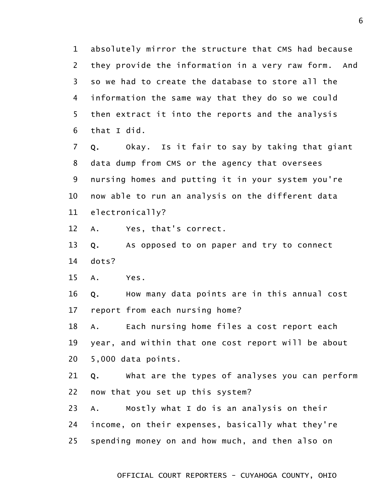1 2 3 4 5 6 absolutely mirror the structure that CMS had because they provide the information in a very raw form. And so we had to create the database to store all the information the same way that they do so we could then extract it into the reports and the analysis that I did.

7 8 9 10 11 Q. Okay. Is it fair to say by taking that giant data dump from CMS or the agency that oversees nursing homes and putting it in your system you're now able to run an analysis on the different data electronically?

12 A. Yes, that's correct.

13 14 Q. As opposed to on paper and try to connect dots?

15 A. Yes.

16 17 Q. How many data points are in this annual cost report from each nursing home?

18 19 20 A. Each nursing home files a cost report each year, and within that one cost report will be about 5,000 data points.

21 22 Q. What are the types of analyses you can perform now that you set up this system?

23 24 25 A. Mostly what I do is an analysis on their income, on their expenses, basically what they're spending money on and how much, and then also on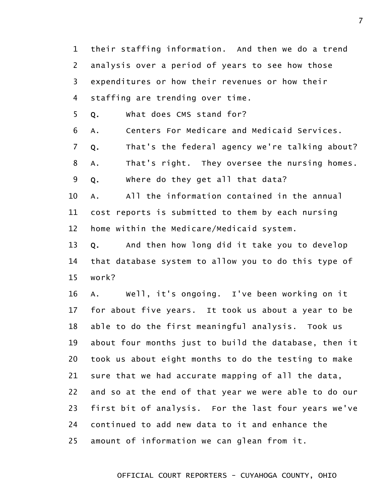1 2 3 4 their staffing information. And then we do a trend analysis over a period of years to see how those expenditures or how their revenues or how their staffing are trending over time.

5 Q. What does CMS stand for?

6 A. Centers For Medicare and Medicaid Services.

7 Q. That's the federal agency we're talking about?

8 A. That's right. They oversee the nursing homes.

9 Q. Where do they get all that data?

10 11 12 A. All the information contained in the annual cost reports is submitted to them by each nursing home within the Medicare/Medicaid system.

13 14 15 Q. And then how long did it take you to develop that database system to allow you to do this type of work?

16 17 18 19 20 21 22 23 24 25 A. Well, it's ongoing. I've been working on it for about five years. It took us about a year to be able to do the first meaningful analysis. Took us about four months just to build the database, then it took us about eight months to do the testing to make sure that we had accurate mapping of all the data, and so at the end of that year we were able to do our first bit of analysis. For the last four years we've continued to add new data to it and enhance the amount of information we can glean from it.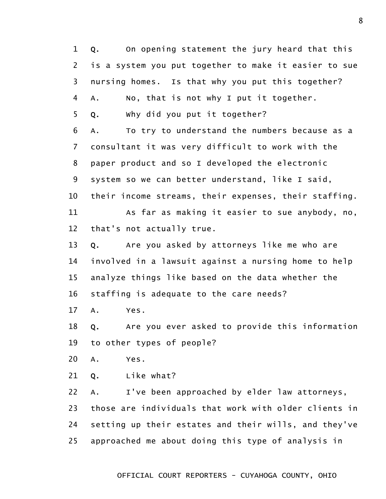1 2 3 4 5 6 7 8 9 10 11 12 13 14 15 16 17 18 19 20 21 22 23 24 25 Q. On opening statement the jury heard that this is a system you put together to make it easier to sue nursing homes. Is that why you put this together? A. No, that is not why I put it together. Q. Why did you put it together? A. To try to understand the numbers because as a consultant it was very difficult to work with the paper product and so I developed the electronic system so we can better understand, like I said, their income streams, their expenses, their staffing. As far as making it easier to sue anybody, no, that's not actually true. Q. Are you asked by attorneys like me who are involved in a lawsuit against a nursing home to help analyze things like based on the data whether the staffing is adequate to the care needs? A. Yes. Q. Are you ever asked to provide this information to other types of people? A. Yes. Q. Like what? A. I've been approached by elder law attorneys, those are individuals that work with older clients in setting up their estates and their wills, and they've approached me about doing this type of analysis in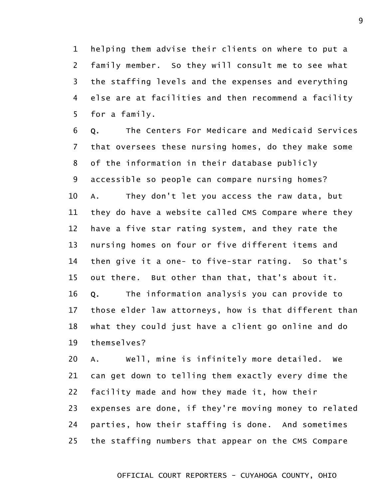1 2 3 4 5 helping them advise their clients on where to put a family member. So they will consult me to see what the staffing levels and the expenses and everything else are at facilities and then recommend a facility for a family.

6 7 8 9 10 11 12 13 14 15 16 17 18 19 Q. The Centers For Medicare and Medicaid Services that oversees these nursing homes, do they make some of the information in their database publicly accessible so people can compare nursing homes? A. They don't let you access the raw data, but they do have a website called CMS Compare where they have a five star rating system, and they rate the nursing homes on four or five different items and then give it a one- to five-star rating. So that's out there. But other than that, that's about it. Q. The information analysis you can provide to those elder law attorneys, how is that different than what they could just have a client go online and do themselves?

20 21 22 23 24 25 A. Well, mine is infinitely more detailed. We can get down to telling them exactly every dime the facility made and how they made it, how their expenses are done, if they're moving money to related parties, how their staffing is done. And sometimes the staffing numbers that appear on the CMS Compare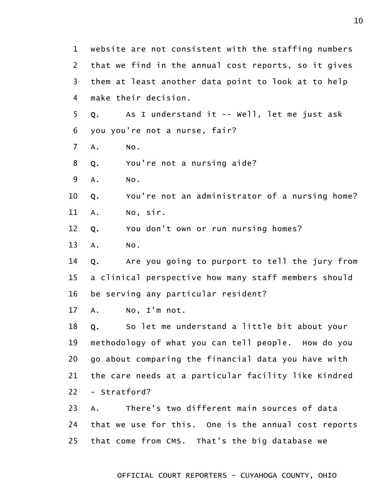1 2 3 4 5 6 7 8 9 10 11 12 13 14 15 16 17 18 19 20 21 22 23 24 25 website are not consistent with the staffing numbers that we find in the annual cost reports, so it gives them at least another data point to look at to help make their decision. Q. As I understand it -- Well, let me just ask you you're not a nurse, fair? A. No. Q. You're not a nursing aide? A. No. Q. You're not an administrator of a nursing home? A. No, sir. Q. You don't own or run nursing homes? A. No. Q. Are you going to purport to tell the jury from a clinical perspective how many staff members should be serving any particular resident? A. No, I'm not. Q. So let me understand a little bit about your methodology of what you can tell people. How do you go about comparing the financial data you have with the care needs at a particular facility like Kindred - Stratford? A. There's two different main sources of data that we use for this. One is the annual cost reports that come from CMS. That's the big database we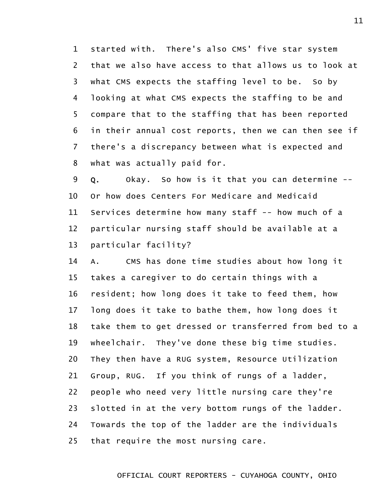1 2 3 4 5 6 7 8 started with. There's also CMS' five star system that we also have access to that allows us to look at what CMS expects the staffing level to be. So by looking at what CMS expects the staffing to be and compare that to the staffing that has been reported in their annual cost reports, then we can then see if there's a discrepancy between what is expected and what was actually paid for.

9 10 11 12 13 Q. Okay. So how is it that you can determine -- Or how does Centers For Medicare and Medicaid Services determine how many staff -- how much of a particular nursing staff should be available at a particular facility?

14 15 16 17 18 19 20 21 22 23 24 25 A. CMS has done time studies about how long it takes a caregiver to do certain things with a resident; how long does it take to feed them, how long does it take to bathe them, how long does it take them to get dressed or transferred from bed to a wheelchair. They've done these big time studies. They then have a RUG system, Resource Utilization Group, RUG. If you think of rungs of a ladder, people who need very little nursing care they're slotted in at the very bottom rungs of the ladder. Towards the top of the ladder are the individuals that require the most nursing care.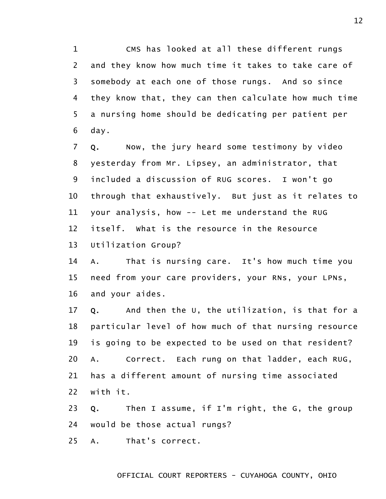1 2 3 4 5 6 CMS has looked at all these different rungs and they know how much time it takes to take care of somebody at each one of those rungs. And so since they know that, they can then calculate how much time a nursing home should be dedicating per patient per day.

7 8 9 10 11 12 13 Q. Now, the jury heard some testimony by video yesterday from Mr. Lipsey, an administrator, that included a discussion of RUG scores. I won't go through that exhaustively. But just as it relates to your analysis, how -- Let me understand the RUG itself. What is the resource in the Resource Utilization Group?

14 15 16 A. That is nursing care. It's how much time you need from your care providers, your RNs, your LPNs, and your aides.

17 18 19 20 21 22 Q. And then the U, the utilization, is that for a particular level of how much of that nursing resource is going to be expected to be used on that resident? A. Correct. Each rung on that ladder, each RUG, has a different amount of nursing time associated with it.

23 24 Q. Then I assume, if I'm right, the G, the group would be those actual rungs?

25 A. That's correct.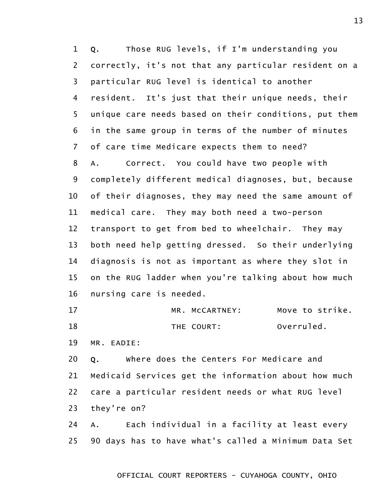1 2 3 4 5 6 7 8 9 10 11 12 13 14 15 16 17 18 Q. Those RUG levels, if I'm understanding you correctly, it's not that any particular resident on a particular RUG level is identical to another resident. It's just that their unique needs, their unique care needs based on their conditions, put them in the same group in terms of the number of minutes of care time Medicare expects them to need? A. Correct. You could have two people with completely different medical diagnoses, but, because of their diagnoses, they may need the same amount of medical care. They may both need a two-person transport to get from bed to wheelchair. They may both need help getting dressed. So their underlying diagnosis is not as important as where they slot in on the RUG ladder when you're talking about how much nursing care is needed. MR. McCARTNEY: Move to strike. THE COURT: Overruled.

19 MR. EADIE:

20 21 22 23 Q. Where does the Centers For Medicare and Medicaid Services get the information about how much care a particular resident needs or what RUG level they're on?

24 25 A. Each individual in a facility at least every 90 days has to have what's called a Minimum Data Set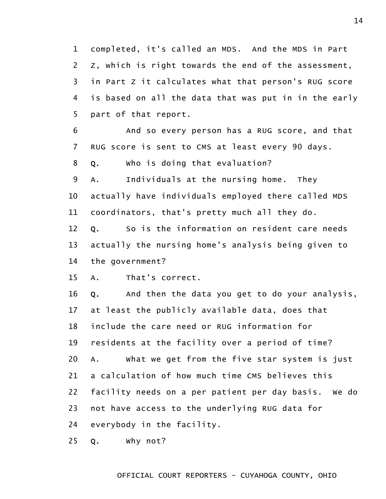1 2 3 4 5 completed, it's called an MDS. And the MDS in Part Z, which is right towards the end of the assessment, in Part Z it calculates what that person's RUG score is based on all the data that was put in in the early part of that report.

6 7 And so every person has a RUG score, and that RUG score is sent to CMS at least every 90 days.

8 Q. Who is doing that evaluation?

9 10 11 A. Individuals at the nursing home. They actually have individuals employed there called MDS coordinators, that's pretty much all they do.

12 13 14 Q. So is the information on resident care needs actually the nursing home's analysis being given to the government?

15 A. That's correct.

16 17 18 19 20 21 22 23 24 Q. And then the data you get to do your analysis, at least the publicly available data, does that include the care need or RUG information for residents at the facility over a period of time? A. What we get from the five star system is just a calculation of how much time CMS believes this facility needs on a per patient per day basis. We do not have access to the underlying RUG data for everybody in the facility.

25 Q. Why not?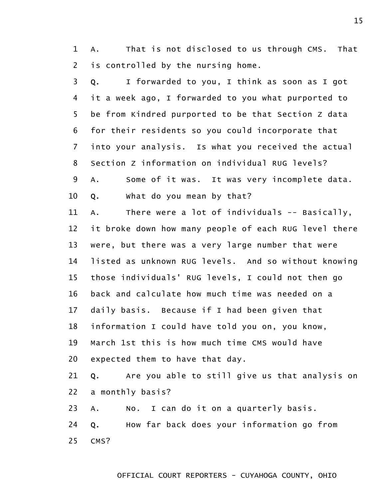1 2 A. That is not disclosed to us through CMS. That is controlled by the nursing home.

3 4 5 6 7 8 9 Q. I forwarded to you, I think as soon as I got it a week ago, I forwarded to you what purported to be from Kindred purported to be that Section Z data for their residents so you could incorporate that into your analysis. Is what you received the actual Section Z information on individual RUG levels? A. Some of it was. It was very incomplete data.

10 Q. What do you mean by that?

11 12 13 14 15 16 17 18 19 20 A. There were a lot of individuals -- Basically, it broke down how many people of each RUG level there were, but there was a very large number that were listed as unknown RUG levels. And so without knowing those individuals' RUG levels, I could not then go back and calculate how much time was needed on a daily basis. Because if I had been given that information I could have told you on, you know, March 1st this is how much time CMS would have expected them to have that day.

21 22 Q. Are you able to still give us that analysis on a monthly basis?

23 A. No. I can do it on a quarterly basis.

24 25 Q. How far back does your information go from CMS?

15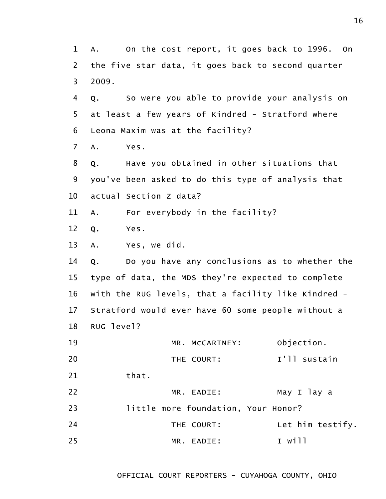1 2 3 4 5 6 7 8 9 10 11 12 13 14 15 16 17 18 19 20 21 22 23 24 25 A. On the cost report, it goes back to 1996. On the five star data, it goes back to second quarter 2009. Q. So were you able to provide your analysis on at least a few years of Kindred - Stratford where Leona Maxim was at the facility? A. Yes. Q. Have you obtained in other situations that you've been asked to do this type of analysis that actual Section Z data? A. For everybody in the facility? Q. Yes. A. Yes, we did. Q. Do you have any conclusions as to whether the type of data, the MDS they're expected to complete with the RUG levels, that a facility like Kindred - Stratford would ever have 60 some people without a RUG level? MR. McCARTNEY: Objection. THE COURT: I'll sustain that. MR. EADIE: May I lay a little more foundation, Your Honor? THE COURT: Let him testify. MR. EADIE: I will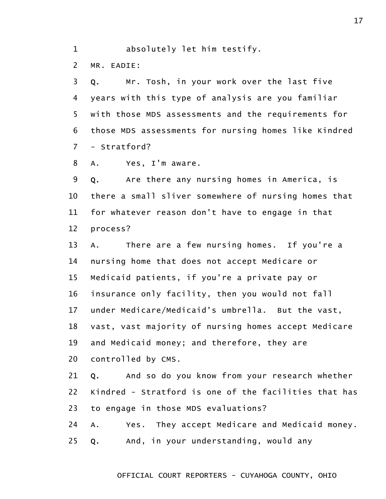1 absolutely let him testify.

2 MR. EADIE:

3 4 5 6 7 Q. Mr. Tosh, in your work over the last five years with this type of analysis are you familiar with those MDS assessments and the requirements for those MDS assessments for nursing homes like Kindred - Stratford?

8 A. Yes, I'm aware.

9 10 11 12 Q. Are there any nursing homes in America, is there a small sliver somewhere of nursing homes that for whatever reason don't have to engage in that process?

13 14 15 16 17 18 19 20 A. There are a few nursing homes. If you're a nursing home that does not accept Medicare or Medicaid patients, if you're a private pay or insurance only facility, then you would not fall under Medicare/Medicaid's umbrella. But the vast, vast, vast majority of nursing homes accept Medicare and Medicaid money; and therefore, they are controlled by CMS.

21 22 23 Q. And so do you know from your research whether Kindred - Stratford is one of the facilities that has to engage in those MDS evaluations?

24 A. Yes. They accept Medicare and Medicaid money.

25 Q. And, in your understanding, would any

OFFICIAL COURT REPORTERS - CUYAHOGA COUNTY, OHIO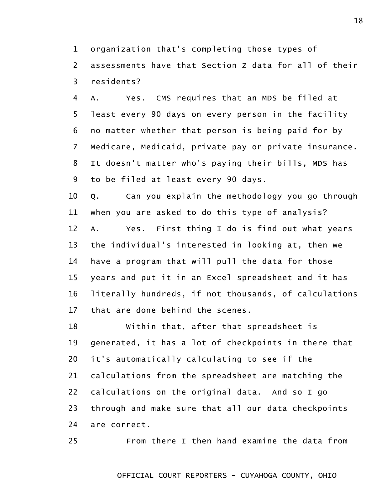1 2 organization that's completing those types of assessments have that Section Z data for all of their

3 residents?

4 5 6 7 8 9 A. Yes. CMS requires that an MDS be filed at least every 90 days on every person in the facility no matter whether that person is being paid for by Medicare, Medicaid, private pay or private insurance. It doesn't matter who's paying their bills, MDS has to be filed at least every 90 days.

10 11 12 13 14 15 16 17 Q. Can you explain the methodology you go through when you are asked to do this type of analysis? A. Yes. First thing I do is find out what years the individual's interested in looking at, then we have a program that will pull the data for those years and put it in an Excel spreadsheet and it has literally hundreds, if not thousands, of calculations that are done behind the scenes.

18 19 20 21 22 23 24 Within that, after that spreadsheet is generated, it has a lot of checkpoints in there that it's automatically calculating to see if the calculations from the spreadsheet are matching the calculations on the original data. And so I go through and make sure that all our data checkpoints are correct.

25 From there I then hand examine the data from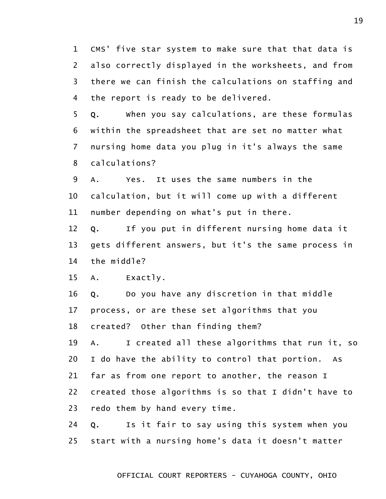1 2 3 4 CMS' five star system to make sure that that data is also correctly displayed in the worksheets, and from there we can finish the calculations on staffing and the report is ready to be delivered.

5 6 7 8 Q. When you say calculations, are these formulas within the spreadsheet that are set no matter what nursing home data you plug in it's always the same calculations?

9 10 11 A. Yes. It uses the same numbers in the calculation, but it will come up with a different number depending on what's put in there.

12 13 14 Q. If you put in different nursing home data it gets different answers, but it's the same process in the middle?

15 A. Exactly.

16 17 18 Q. Do you have any discretion in that middle process, or are these set algorithms that you created? Other than finding them?

19 20 21 22 23 A. I created all these algorithms that run it, so I do have the ability to control that portion. As far as from one report to another, the reason I created those algorithms is so that I didn't have to redo them by hand every time.

24 25 Q. Is it fair to say using this system when you start with a nursing home's data it doesn't matter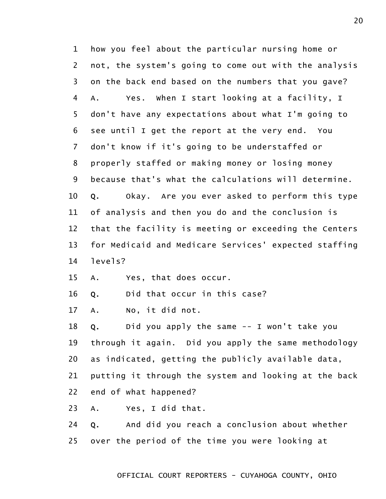1 2 3 4 5 6 7 8 9 10 11 12 13 14 how you feel about the particular nursing home or not, the system's going to come out with the analysis on the back end based on the numbers that you gave? A. Yes. When I start looking at a facility, I don't have any expectations about what I'm going to see until I get the report at the very end. You don't know if it's going to be understaffed or properly staffed or making money or losing money because that's what the calculations will determine. Q. Okay. Are you ever asked to perform this type of analysis and then you do and the conclusion is that the facility is meeting or exceeding the Centers for Medicaid and Medicare Services' expected staffing levels?

15 A. Yes, that does occur.

16 Q. Did that occur in this case?

17 A. No, it did not.

18 19 20 Q. Did you apply the same -- I won't take you through it again. Did you apply the same methodology as indicated, getting the publicly available data,

21 putting it through the system and looking at the back

22 end of what happened?

23 A. Yes, I did that.

24 25 Q. And did you reach a conclusion about whether over the period of the time you were looking at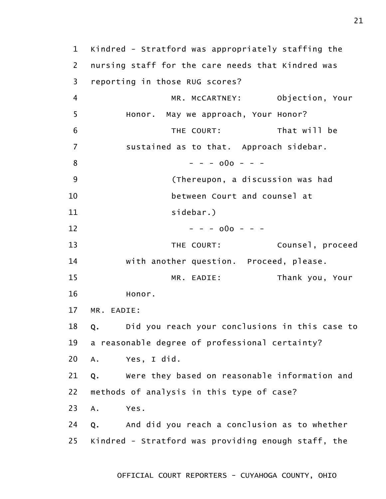1 2 3 4 5 6 7 8 9 10 11 12 13 14 15 16 17 18 19 20 21 22 23 24 25 Kindred - Stratford was appropriately staffing the nursing staff for the care needs that Kindred was reporting in those RUG scores? MR. McCARTNEY: Objection, Your Honor. May we approach, Your Honor? THE COURT: That will be sustained as to that. Approach sidebar.  $- - - 000 - - -$ (Thereupon, a discussion was had between Court and counsel at sidebar.)  $- - - 000 - - -$ THE COURT: Counsel, proceed with another question. Proceed, please. MR. EADIE: Thank you, Your Honor. MR. EADIE: Q. Did you reach your conclusions in this case to a reasonable degree of professional certainty? A. Yes, I did. Q. Were they based on reasonable information and methods of analysis in this type of case? A. Yes. Q. And did you reach a conclusion as to whether Kindred - Stratford was providing enough staff, the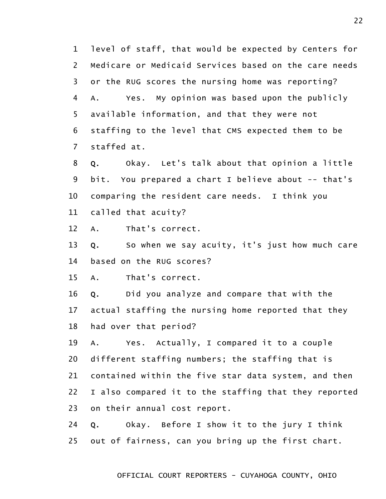1 2 3 4 5 6 7 level of staff, that would be expected by Centers for Medicare or Medicaid Services based on the care needs or the RUG scores the nursing home was reporting? A. Yes. My opinion was based upon the publicly available information, and that they were not staffing to the level that CMS expected them to be staffed at.

8 9 10 11 Q. Okay. Let's talk about that opinion a little bit. You prepared a chart I believe about -- that's comparing the resident care needs. I think you called that acuity?

12 A. That's correct.

13 14 Q. So when we say acuity, it's just how much care based on the RUG scores?

15 A. That's correct.

16 17 18 Q. Did you analyze and compare that with the actual staffing the nursing home reported that they had over that period?

19 20 21 22 23 A. Yes. Actually, I compared it to a couple different staffing numbers; the staffing that is contained within the five star data system, and then I also compared it to the staffing that they reported on their annual cost report.

24 25 Q. Okay. Before I show it to the jury I think out of fairness, can you bring up the first chart.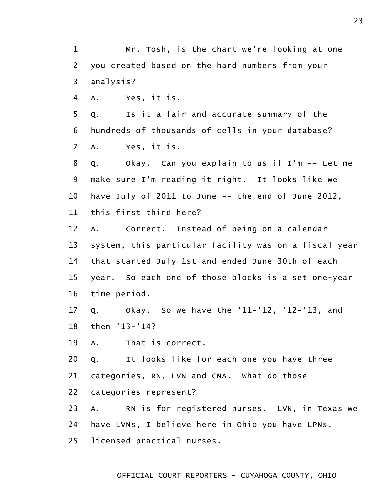1 2 3 Mr. Tosh, is the chart we're looking at one you created based on the hard numbers from your analysis?

4 A. Yes, it is.

5 6 7 Q. Is it a fair and accurate summary of the hundreds of thousands of cells in your database? A. Yes, it is.

8 9 10 11 Q. Okay. Can you explain to us if I'm -- Let me make sure I'm reading it right. It looks like we have July of 2011 to June -- the end of June 2012, this first third here?

12 13 14 15 16 A. Correct. Instead of being on a calendar system, this particular facility was on a fiscal year that started July 1st and ended June 30th of each year. So each one of those blocks is a set one-year time period.

17 18 Q. Okay. So we have the '11-'12, '12-'13, and then '13-'14?

19 A. That is correct.

20 Q. It looks like for each one you have three

21 categories, RN, LVN and CNA. What do those

22 categories represent?

23 24 25 A. RN is for registered nurses. LVN, in Texas we have LVNs, I believe here in Ohio you have LPNs, licensed practical nurses.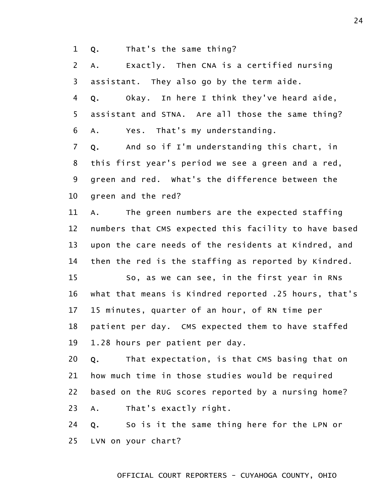1 Q. That's the same thing?

2 3 A. Exactly. Then CNA is a certified nursing assistant. They also go by the term aide.

4 5 6 Q. Okay. In here I think they've heard aide, assistant and STNA. Are all those the same thing? A. Yes. That's my understanding.

7 8 9 10 Q. And so if I'm understanding this chart, in this first year's period we see a green and a red, green and red. What's the difference between the green and the red?

11 12 13 14 A. The green numbers are the expected staffing numbers that CMS expected this facility to have based upon the care needs of the residents at Kindred, and then the red is the staffing as reported by Kindred.

15 16 17 18 19 So, as we can see, in the first year in RNs what that means is Kindred reported .25 hours, that's 15 minutes, quarter of an hour, of RN time per patient per day. CMS expected them to have staffed 1.28 hours per patient per day.

20 21 22 23 Q. That expectation, is that CMS basing that on how much time in those studies would be required based on the RUG scores reported by a nursing home? A. That's exactly right.

24 25 Q. So is it the same thing here for the LPN or LVN on your chart?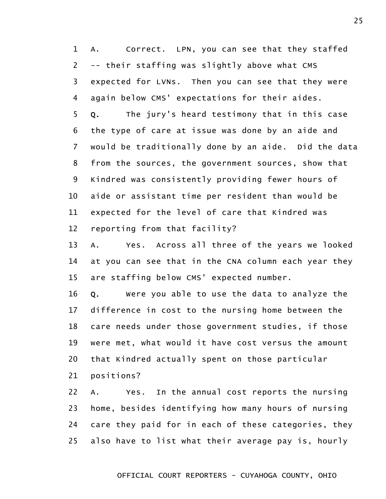1 2 3 4 5 6 7 8 9 10 11 12 A. Correct. LPN, you can see that they staffed -- their staffing was slightly above what CMS expected for LVNs. Then you can see that they were again below CMS' expectations for their aides. Q. The jury's heard testimony that in this case the type of care at issue was done by an aide and would be traditionally done by an aide. Did the data from the sources, the government sources, show that Kindred was consistently providing fewer hours of aide or assistant time per resident than would be expected for the level of care that Kindred was reporting from that facility?

13 14 15 A. Yes. Across all three of the years we looked at you can see that in the CNA column each year they are staffing below CMS' expected number.

16 17 18 19 20 Q. Were you able to use the data to analyze the difference in cost to the nursing home between the care needs under those government studies, if those were met, what would it have cost versus the amount that Kindred actually spent on those particular

21 positions?

22 23 24 25 A. Yes. In the annual cost reports the nursing home, besides identifying how many hours of nursing care they paid for in each of these categories, they also have to list what their average pay is, hourly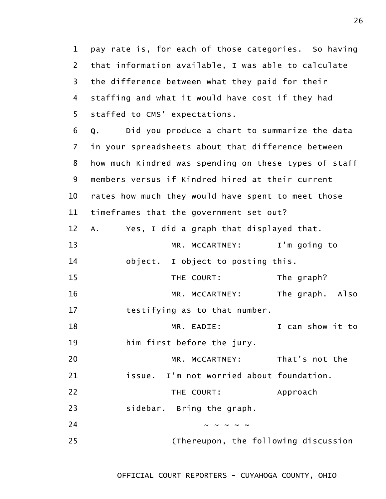1 2 3 4 5 pay rate is, for each of those categories. So having that information available, I was able to calculate the difference between what they paid for their staffing and what it would have cost if they had staffed to CMS' expectations.

6 7 8 9 10 11 Q. Did you produce a chart to summarize the data in your spreadsheets about that difference between how much Kindred was spending on these types of staff members versus if Kindred hired at their current rates how much they would have spent to meet those timeframes that the government set out?

12 A. Yes, I did a graph that displayed that.

| 13  | MR. MCCARTNEY:                    | I'm going to |
|-----|-----------------------------------|--------------|
| -14 | object. I object to posting this. |              |

15 16 THE COURT: The graph? MR. McCARTNEY: The graph. Also

17 testifying as to that number.

18 MR. EADIE: I can show it to

19 him first before the jury.

20 MR. McCARTNEY: That's not the

21 issue. I'm not worried about foundation.

22 THE COURT: Approach

23 sidebar. Bring the graph.

24 25  $\sim$   $\sim$   $\sim$   $\sim$   $\sim$ 

(Thereupon, the following discussion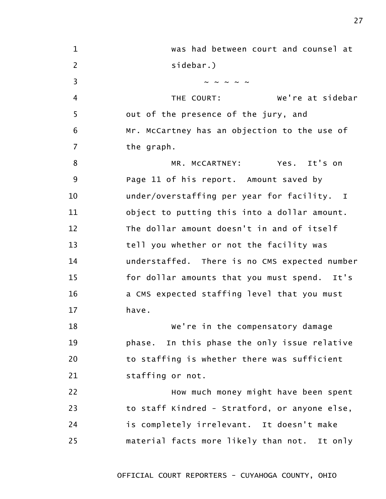| $\mathbf{1}$   | was had between court and counsel at          |
|----------------|-----------------------------------------------|
| $\overline{2}$ | sidebar.)                                     |
| $\overline{3}$ | $\sim$ $\sim$ $\sim$ $\sim$                   |
| 4              | We're at sidebar<br>THE COURT:                |
| 5              | out of the presence of the jury, and          |
| 6              | Mr. McCartney has an objection to the use of  |
| $\overline{7}$ | the graph.                                    |
| 8              | MR. MCCARTNEY: Yes. It's on                   |
| 9              | Page 11 of his report. Amount saved by        |
| 10             | under/overstaffing per year for facility. I   |
| 11             | object to putting this into a dollar amount.  |
| 12             | The dollar amount doesn't in and of itself    |
| 13             | tell you whether or not the facility was      |
| 14             | understaffed. There is no CMS expected number |
| 15             | for dollar amounts that you must spend. It's  |
| 16             | a CMS expected staffing level that you must   |
| 17             | have.                                         |
| 18             | We're in the compensatory damage              |
| 19             | phase. In this phase the only issue relative  |
| 20             | to staffing is whether there was sufficient   |
| 21             | staffing or not.                              |
| 22             | How much money might have been spent          |
| 23             | to staff Kindred - Stratford, or anyone else, |
| 24             | is completely irrelevant. It doesn't make     |
| 25             | material facts more likely than not. It only  |
|                |                                               |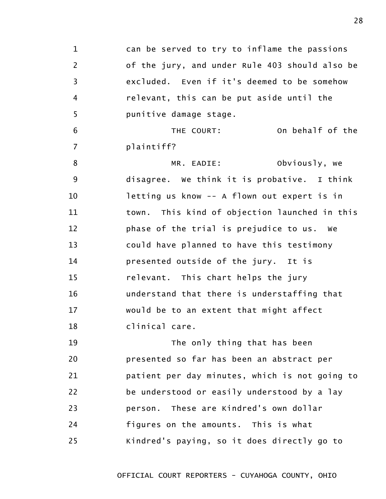1 2 3 4 5 6 7 8 9 10 11 12 13 14 15 16 17 18 19 20 21 22 23 24 25 can be served to try to inflame the passions of the jury, and under Rule 403 should also be excluded. Even if it's deemed to be somehow relevant, this can be put aside until the punitive damage stage. THE COURT: On behalf of the plaintiff? MR. EADIE: Obviously, we disagree. We think it is probative. I think letting us know -- A flown out expert is in town. This kind of objection launched in this phase of the trial is prejudice to us. We could have planned to have this testimony presented outside of the jury. It is relevant. This chart helps the jury understand that there is understaffing that would be to an extent that might affect clinical care. The only thing that has been presented so far has been an abstract per patient per day minutes, which is not going to be understood or easily understood by a lay person. These are Kindred's own dollar figures on the amounts. This is what Kindred's paying, so it does directly go to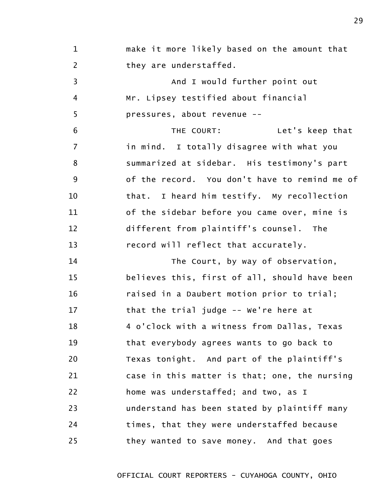1 2 3 4 5 6 7 8 9 10 11 12 13 14 15 16 17 18 19 20 21 make it more likely based on the amount that they are understaffed. And I would further point out Mr. Lipsey testified about financial pressures, about revenue -- THE COURT: Let's keep that in mind. I totally disagree with what you summarized at sidebar. His testimony's part of the record. You don't have to remind me of that. I heard him testify. My recollection of the sidebar before you came over, mine is different from plaintiff's counsel. The record will reflect that accurately. The Court, by way of observation, believes this, first of all, should have been raised in a Daubert motion prior to trial; that the trial judge -- We're here at 4 o'clock with a witness from Dallas, Texas that everybody agrees wants to go back to Texas tonight. And part of the plaintiff's case in this matter is that; one, the nursing

OFFICIAL COURT REPORTERS - CUYAHOGA COUNTY, OHIO

understand has been stated by plaintiff many

times, that they were understaffed because

they wanted to save money. And that goes

home was understaffed; and two, as I

22

23

24

25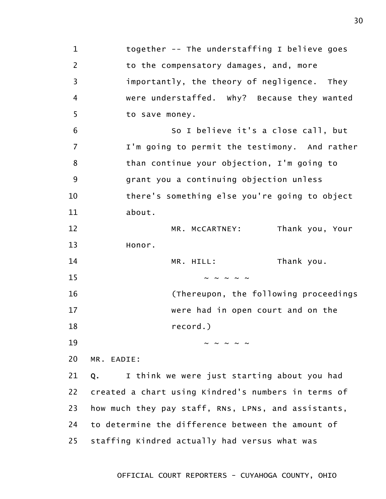1 2 3 4 5 6 7 8 9 10 11 12 13 14 15 16 17 18 19 20 21 22 23 24 25 together -- The understaffing I believe goes to the compensatory damages, and, more importantly, the theory of negligence. They were understaffed. Why? Because they wanted to save money. So I believe it's a close call, but I'm going to permit the testimony. And rather than continue your objection, I'm going to grant you a continuing objection unless there's something else you're going to object about. MR. McCARTNEY: Thank you, Your Honor. MR. HILL: Thank you.  $\sim$   $\sim$   $\sim$   $\sim$   $\sim$ (Thereupon, the following proceedings were had in open court and on the record.)  $\sim$   $\sim$   $\sim$   $\sim$   $\sim$ MR. EADIE: Q. I think we were just starting about you had created a chart using Kindred's numbers in terms of how much they pay staff, RNs, LPNs, and assistants, to determine the difference between the amount of staffing Kindred actually had versus what was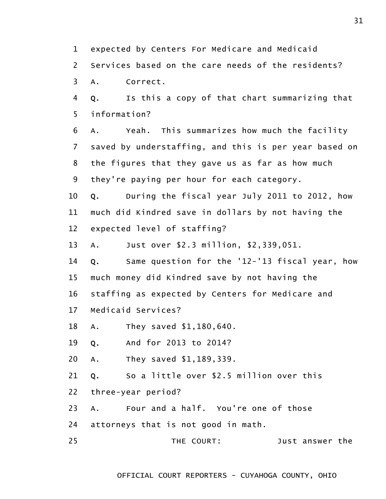1 expected by Centers For Medicare and Medicaid

2 Services based on the care needs of the residents?

3 A. Correct.

4 5 Q. Is this a copy of that chart summarizing that information?

6 7 8 9 A. Yeah. This summarizes how much the facility saved by understaffing, and this is per year based on the figures that they gave us as far as how much they're paying per hour for each category.

10 11 12 Q. During the fiscal year July 2011 to 2012, how much did Kindred save in dollars by not having the expected level of staffing?

13 A. Just over \$2.3 million, \$2,339,051.

14 15 16 17 Q. Same question for the '12-'13 fiscal year, how much money did Kindred save by not having the staffing as expected by Centers for Medicare and Medicaid Services?

18 A. They saved \$1,180,640.

19 Q. And for 2013 to 2014?

20 A. They saved \$1,189,339.

21 Q. So a little over \$2.5 million over this

22 three-year period?

23 A. Four and a half. You're one of those

24 attorneys that is not good in math.

25 THE COURT: Just answer the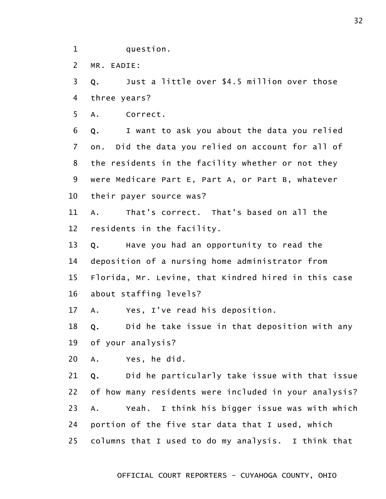1 question.

2 MR. EADIE:

3 4 Q. Just a little over \$4.5 million over those three years?

5 A. Correct.

6 7 8 9 10 Q. I want to ask you about the data you relied on. Did the data you relied on account for all of the residents in the facility whether or not they were Medicare Part E, Part A, or Part B, whatever their payer source was?

11 12 A. That's correct. That's based on all the residents in the facility.

13 14 15 16 Q. Have you had an opportunity to read the deposition of a nursing home administrator from Florida, Mr. Levine, that Kindred hired in this case about staffing levels?

17 A. Yes, I've read his deposition.

18 19 Q. Did he take issue in that deposition with any of your analysis?

20 A. Yes, he did.

21 22 23 24 25 Q. Did he particularly take issue with that issue of how many residents were included in your analysis? A. Yeah. I think his bigger issue was with which portion of the five star data that I used, which columns that I used to do my analysis. I think that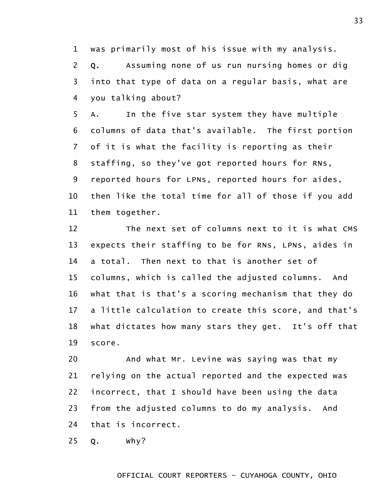1 was primarily most of his issue with my analysis.

2 3 4 Q. Assuming none of us run nursing homes or dig into that type of data on a regular basis, what are you talking about?

5 6 7 8 9 10 11 A. In the five star system they have multiple columns of data that's available. The first portion of it is what the facility is reporting as their staffing, so they've got reported hours for RNs, reported hours for LPNs, reported hours for aides, then like the total time for all of those if you add them together.

12 13 14 15 16 17 18 19 The next set of columns next to it is what CMS expects their staffing to be for RNs, LPNs, aides in a total. Then next to that is another set of columns, which is called the adjusted columns. And what that is that's a scoring mechanism that they do a little calculation to create this score, and that's what dictates how many stars they get. It's off that score.

20 21 22 23 24 And what Mr. Levine was saying was that my relying on the actual reported and the expected was incorrect, that I should have been using the data from the adjusted columns to do my analysis. And that is incorrect.

25 Q. Why?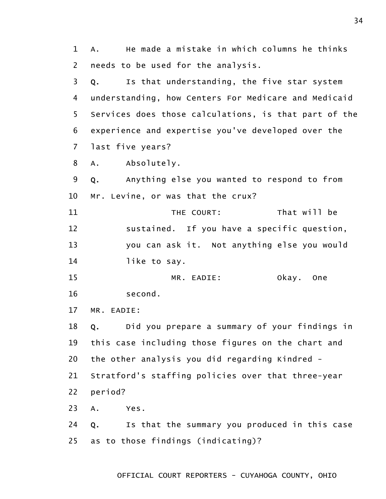1 2 A. He made a mistake in which columns he thinks needs to be used for the analysis.

3 4 5 6 7 Q. Is that understanding, the five star system understanding, how Centers For Medicare and Medicaid Services does those calculations, is that part of the experience and expertise you've developed over the last five years?

8 A. Absolutely.

9 10 Q. Anything else you wanted to respond to from Mr. Levine, or was that the crux?

11 12 13 14 THE COURT: That will be sustained. If you have a specific question, you can ask it. Not anything else you would like to say.

15 16 MR. EADIE: Okay. One second.

17 MR. EADIE:

18 19 20 Q. Did you prepare a summary of your findings in this case including those figures on the chart and the other analysis you did regarding Kindred -

21 Stratford's staffing policies over that three-year

22 period?

23 A. Yes.

24 25 Q. Is that the summary you produced in this case as to those findings (indicating)?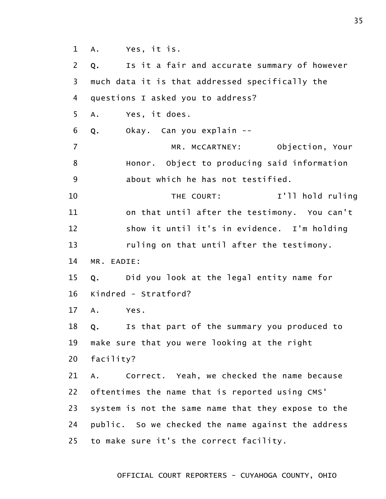1 A. Yes, it is.

2 3 4 5 6 7 8 9 10 11 12 13 14 15 16 17 18 19 20 21 22 23 24 25 Q. Is it a fair and accurate summary of however much data it is that addressed specifically the questions I asked you to address? A. Yes, it does. Q. Okay. Can you explain -- MR. McCARTNEY: Objection, Your Honor. Object to producing said information about which he has not testified. THE COURT: I'll hold ruling on that until after the testimony. You can't show it until it's in evidence. I'm holding ruling on that until after the testimony. MR. EADIE: Q. Did you look at the legal entity name for Kindred - Stratford? A. Yes. Q. Is that part of the summary you produced to make sure that you were looking at the right facility? A. Correct. Yeah, we checked the name because oftentimes the name that is reported using CMS' system is not the same name that they expose to the public. So we checked the name against the address to make sure it's the correct facility.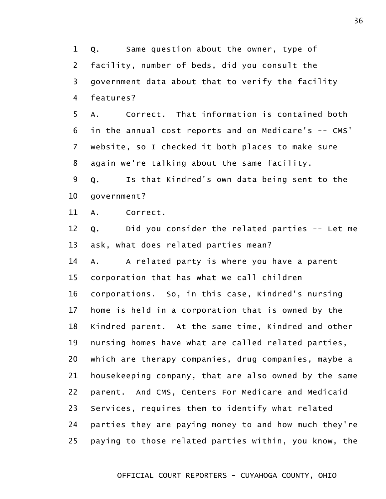1 2 3 4 Q. Same question about the owner, type of facility, number of beds, did you consult the government data about that to verify the facility features?

5 6 7 8 A. Correct. That information is contained both in the annual cost reports and on Medicare's -- CMS' website, so I checked it both places to make sure again we're talking about the same facility.

9 10 Q. Is that Kindred's own data being sent to the government?

11 A. Correct.

12 13 Q. Did you consider the related parties -- Let me ask, what does related parties mean?

14 15 16 17 18 19 20 21 22 23 24 25 A. A related party is where you have a parent corporation that has what we call children corporations. So, in this case, Kindred's nursing home is held in a corporation that is owned by the Kindred parent. At the same time, Kindred and other nursing homes have what are called related parties, which are therapy companies, drug companies, maybe a housekeeping company, that are also owned by the same parent. And CMS, Centers For Medicare and Medicaid Services, requires them to identify what related parties they are paying money to and how much they're paying to those related parties within, you know, the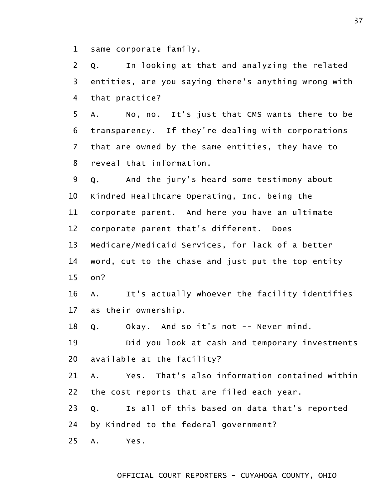1 same corporate family.

2 3 4 Q. In looking at that and analyzing the related entities, are you saying there's anything wrong with that practice?

5 6 7 8 A. No, no. It's just that CMS wants there to be transparency. If they're dealing with corporations that are owned by the same entities, they have to reveal that information.

9 10 11 12 13 14 Q. And the jury's heard some testimony about Kindred Healthcare Operating, Inc. being the corporate parent. And here you have an ultimate corporate parent that's different. Does Medicare/Medicaid Services, for lack of a better word, cut to the chase and just put the top entity

15 on?

16 17 A. It's actually whoever the facility identifies as their ownership.

18 Q. Okay. And so it's not -- Never mind.

19 20 Did you look at cash and temporary investments available at the facility?

21 22 A. Yes. That's also information contained within the cost reports that are filed each year.

23 Q. Is all of this based on data that's reported

24 by Kindred to the federal government?

25 A. Yes.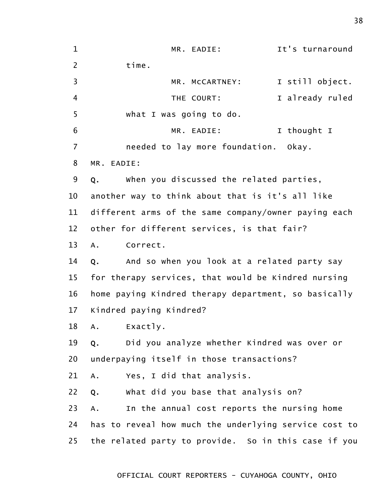1 2 3 4 5 6 7 8 9 10 11 12 13 14 15 16 17 18 19 20 21 22 23 24 25 MR. EADIE: It's turnaround time. MR. McCARTNEY: I still object. THE COURT: I already ruled what I was going to do. MR. EADIE: I thought I needed to lay more foundation. Okay. MR. EADIE: Q. When you discussed the related parties, another way to think about that is it's all like different arms of the same company/owner paying each other for different services, is that fair? A. Correct. Q. And so when you look at a related party say for therapy services, that would be Kindred nursing home paying Kindred therapy department, so basically Kindred paying Kindred? A. Exactly. Q. Did you analyze whether Kindred was over or underpaying itself in those transactions? A. Yes, I did that analysis. Q. What did you base that analysis on? A. In the annual cost reports the nursing home has to reveal how much the underlying service cost to the related party to provide. So in this case if you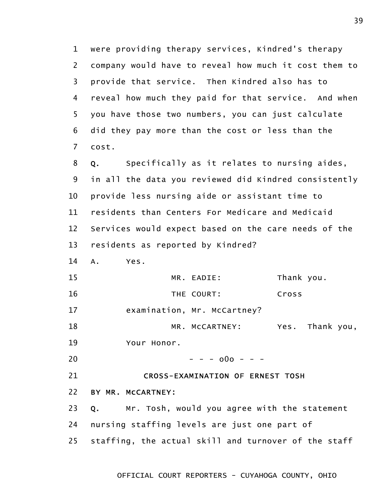1 2 3 4 5 6 7 were providing therapy services, Kindred's therapy company would have to reveal how much it cost them to provide that service. Then Kindred also has to reveal how much they paid for that service. And when you have those two numbers, you can just calculate did they pay more than the cost or less than the cost.

8 9 10 11 12 13 Q. Specifically as it relates to nursing aides, in all the data you reviewed did Kindred consistently provide less nursing aide or assistant time to residents than Centers For Medicare and Medicaid Services would expect based on the care needs of the residents as reported by Kindred?

14 A. Yes.

| 15 | MR. EADIE:                       | Thank you. |                 |  |
|----|----------------------------------|------------|-----------------|--|
| 16 | THE COURT:                       | Cross      |                 |  |
| 17 | examination, Mr. McCartney?      |            |                 |  |
| 18 | MR. MCCARTNEY:                   |            | Yes. Thank you, |  |
| 19 | Your Honor.                      |            |                 |  |
| 20 | $- - - 000 - - -$                |            |                 |  |
| 21 | CROSS-FXAMINATION OF FRNFST TOSH |            |                 |  |

CROSS-EXAMINATION OF ERNEST TOSH

22 BY MR. McCARTNEY:

23 24 25 Q. Mr. Tosh, would you agree with the statement nursing staffing levels are just one part of staffing, the actual skill and turnover of the staff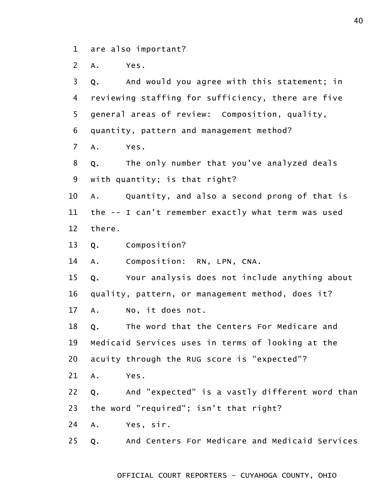1 are also important?

2 A. Yes.

3 4 5 6 7 8 9 10 11 12 13 14 15 16 17 18 19 20 21 22 23 24 25 Q. And would you agree with this statement; in reviewing staffing for sufficiency, there are five general areas of review: Composition, quality, quantity, pattern and management method? A. Yes. Q. The only number that you've analyzed deals with quantity; is that right? A. Quantity, and also a second prong of that is the -- I can't remember exactly what term was used there. Q. Composition? A. Composition: RN, LPN, CNA. Q. Your analysis does not include anything about quality, pattern, or management method, does it? A. No, it does not. Q. The word that the Centers For Medicare and Medicaid Services uses in terms of looking at the acuity through the RUG score is "expected"? A. Yes. Q. And "expected" is a vastly different word than the word "required"; isn't that right? A. Yes, sir. Q. And Centers For Medicare and Medicaid Services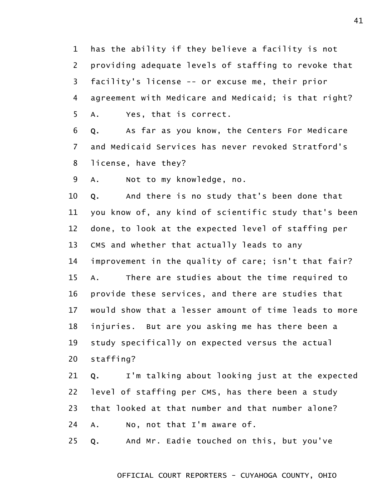1 2 3 4 5 has the ability if they believe a facility is not providing adequate levels of staffing to revoke that facility's license -- or excuse me, their prior agreement with Medicare and Medicaid; is that right? A. Yes, that is correct.

6 7 8 Q. As far as you know, the Centers For Medicare and Medicaid Services has never revoked Stratford's license, have they?

9 A. Not to my knowledge, no.

10 11 12 13 14 15 16 17 18 19 20 Q. And there is no study that's been done that you know of, any kind of scientific study that's been done, to look at the expected level of staffing per CMS and whether that actually leads to any improvement in the quality of care; isn't that fair? A. There are studies about the time required to provide these services, and there are studies that would show that a lesser amount of time leads to more injuries. But are you asking me has there been a study specifically on expected versus the actual staffing?

21 22 23 24 Q. I'm talking about looking just at the expected level of staffing per CMS, has there been a study that looked at that number and that number alone? A. No, not that I'm aware of.

25 Q. And Mr. Eadie touched on this, but you've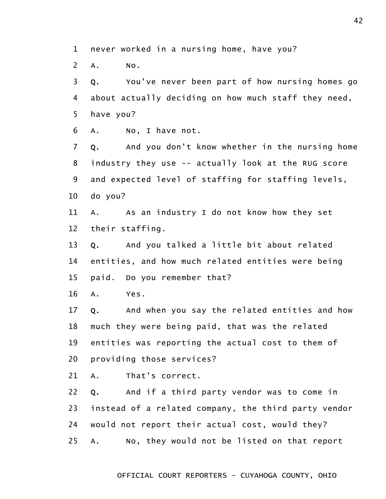1 never worked in a nursing home, have you?

2 A. No.

3 4 5 Q. You've never been part of how nursing homes go about actually deciding on how much staff they need, have you?

6 A. No, I have not.

7 8 9 10 Q. And you don't know whether in the nursing home industry they use -- actually look at the RUG score and expected level of staffing for staffing levels, do you?

11 12 A. As an industry I do not know how they set their staffing.

13 14 15 Q. And you talked a little bit about related entities, and how much related entities were being paid. Do you remember that?

16 A. Yes.

17 18 19 20 Q. And when you say the related entities and how much they were being paid, that was the related entities was reporting the actual cost to them of providing those services?

21 A. That's correct.

22 23 24 25 Q. And if a third party vendor was to come in instead of a related company, the third party vendor would not report their actual cost, would they? A. No, they would not be listed on that report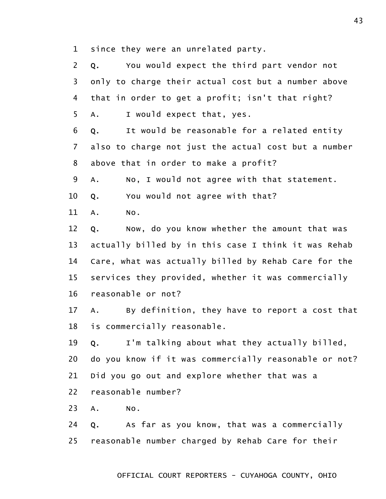1 since they were an unrelated party.

2 3 4 5 Q. You would expect the third part vendor not only to charge their actual cost but a number above that in order to get a profit; isn't that right? A. I would expect that, yes.

6 7 8 Q. It would be reasonable for a related entity also to charge not just the actual cost but a number above that in order to make a profit?

9 A. No, I would not agree with that statement.

10 Q. You would not agree with that?

11 A. No.

12 13 14 15 16 Q. Now, do you know whether the amount that was actually billed by in this case I think it was Rehab Care, what was actually billed by Rehab Care for the services they provided, whether it was commercially reasonable or not?

17 18 A. By definition, they have to report a cost that is commercially reasonable.

19 20 21 Q. I'm talking about what they actually billed, do you know if it was commercially reasonable or not? Did you go out and explore whether that was a

22 reasonable number?

23 A. No.

24 25 Q. As far as you know, that was a commercially reasonable number charged by Rehab Care for their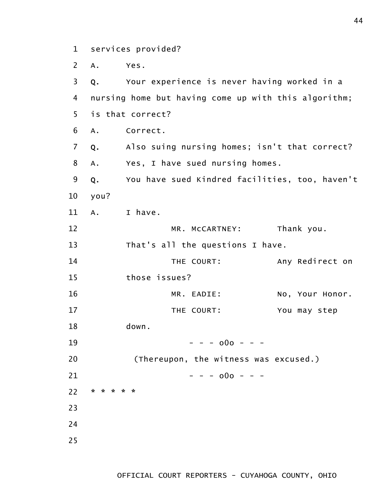1 services provided?

2 3 4 5 6 7 8 9 10 11 12 13 14 15 16 17 A. Yes. Q. Your experience is never having worked in a nursing home but having come up with this algorithm; is that correct? A. Correct. Q. Also suing nursing homes; isn't that correct? A. Yes, I have sued nursing homes. Q. You have sued Kindred facilities, too, haven't you? A. I have. MR. McCARTNEY: Thank you. That's all the questions I have. THE COURT: Any Redirect on those issues? MR. EADIE: No, Your Honor. THE COURT: You may step down.

18 19 20 21 22 23 24 25  $- - - 000 - - -$ (Thereupon, the witness was excused.)  $- - - 000 - - -$ \* \* \* \* \*